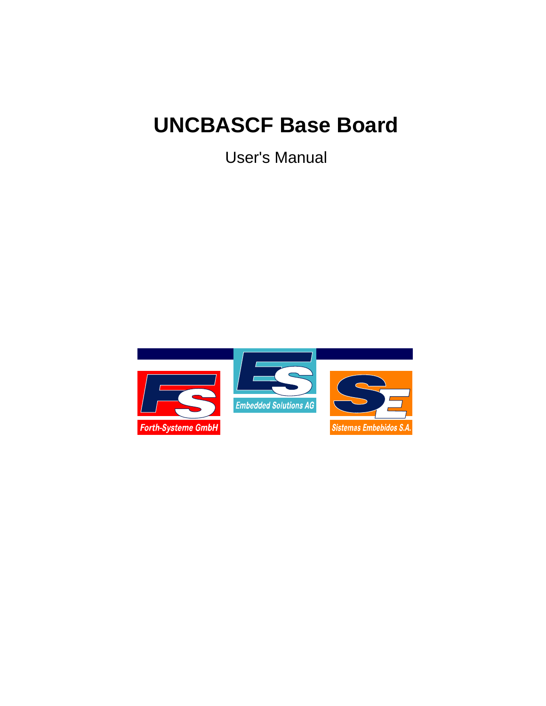# **UNCBASCF Base Board**

User's Manual

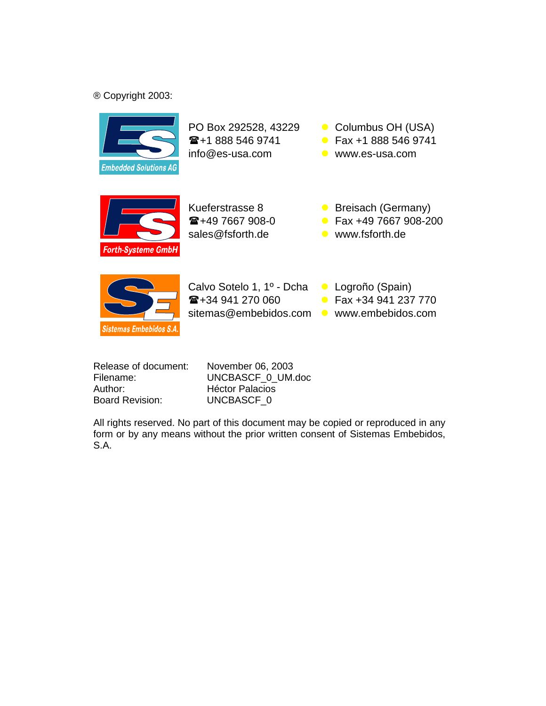## ® Copyright 2003:



PO Box 292528, 43229 Columbus OH (USA) **雷+1 888 546 9741** info@es-usa.com www.es-usa.com

- Fax +1 888 546 9741
	-

Forth-Systeme GmbH

 $\mathbf{E}$ +49 7667 908-0 sales@fsforth.de vww.fsforth.de

- Kueferstrasse 8 **Canadian Care Breisach (Germany)** 
	- Fax +49 7667 908-200
		-



Calvo Sotelo 1, 1º - Dcha **Logroño (Spain)**  $\mathbf{E}$ +34 941 270 060 sitemas@embebidos.com www.embebidos.com

- 
- Fax +34 941 237 770
	-

| Release of document:   |
|------------------------|
| Filename:              |
| Author:                |
| <b>Board Revision:</b> |

**November 06, 2003** UNCBASCF\_0\_UM.doc **Héctor Palacios** UNCBASCF\_0

All rights reserved. No part of this document may be copied or reproduced in any form or by any means without the prior written consent of Sistemas Embebidos, S.A.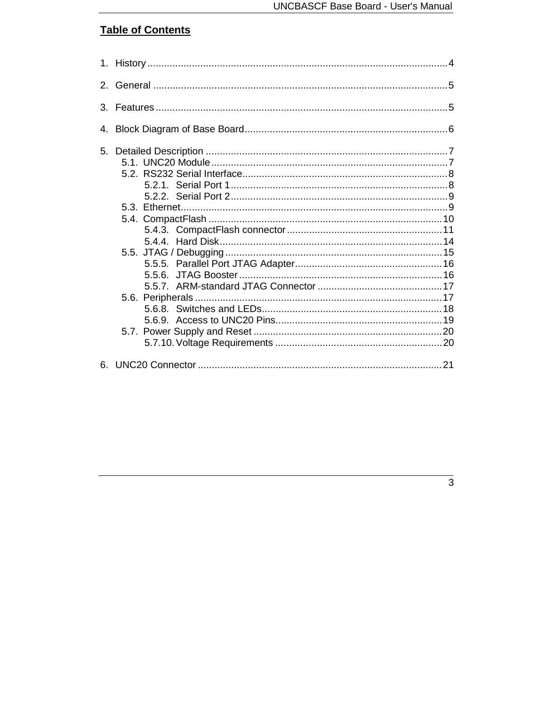# **Table of Contents**

| $\mathcal{S}_{\mathcal{C}}$ |  |
|-----------------------------|--|
| 4.                          |  |
|                             |  |
| 6.                          |  |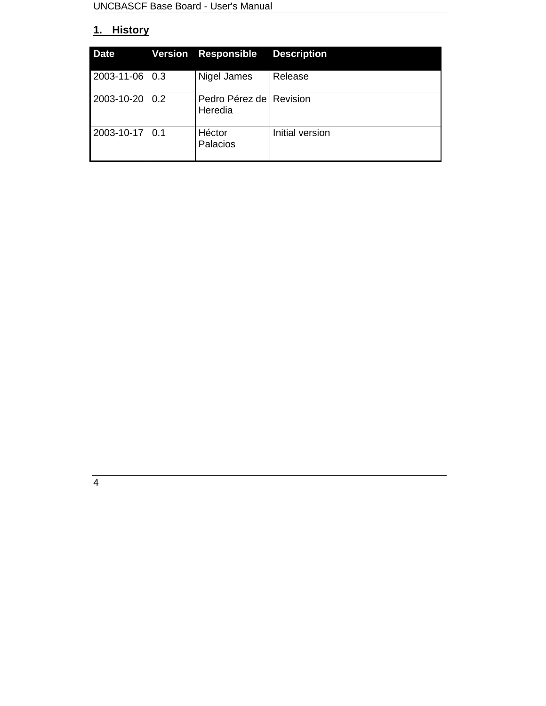## **1. History**

| <b>Date</b>    |                  | <b>Version Responsible</b>           | <b>Description</b> |
|----------------|------------------|--------------------------------------|--------------------|
| 2003-11-06 0.3 |                  | Nigel James                          | Release            |
| 2003-10-20     | $\overline{0.2}$ | Pedro Pérez de   Revision<br>Heredia |                    |
| 2003-10-17     | $\overline{0.1}$ | Héctor<br>Palacios                   | Initial version    |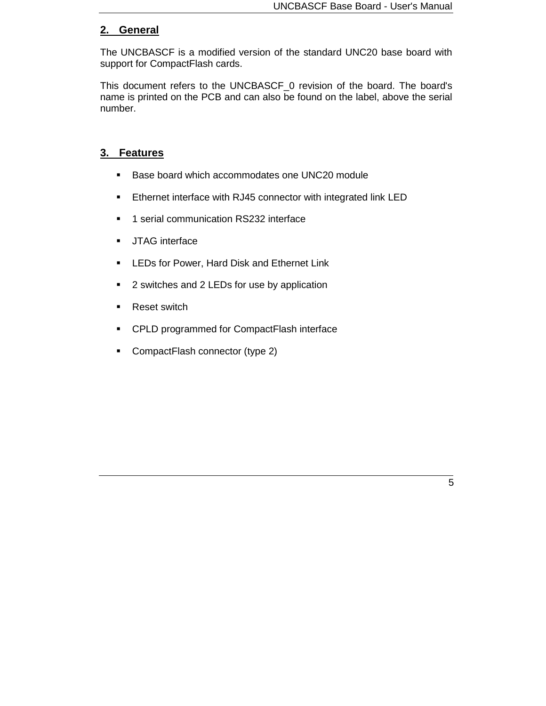## **2. General**

The UNCBASCF is a modified version of the standard UNC20 base board with support for CompactFlash cards.

This document refers to the UNCBASCF\_0 revision of the board. The board's name is printed on the PCB and can also be found on the label, above the serial number.

#### **3. Features**

- Base board which accommodates one UNC20 module
- **Ethernet interface with RJ45 connector with integrated link LED**
- **1** serial communication RS232 interface
- **JTAG** interface
- **EXTEDS for Power, Hard Disk and Ethernet Link**
- 2 switches and 2 LEDs for use by application
- Reset switch
- **CPLD programmed for CompactFlash interface**
- CompactFlash connector (type 2)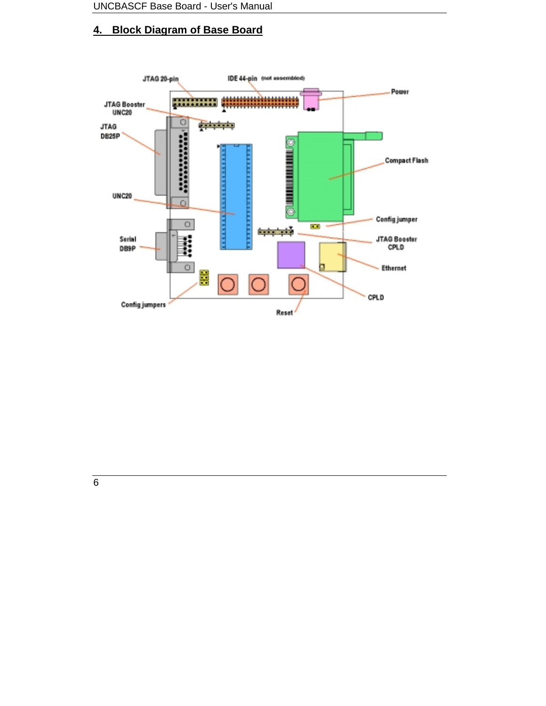## **4. Block Diagram of Base Board**



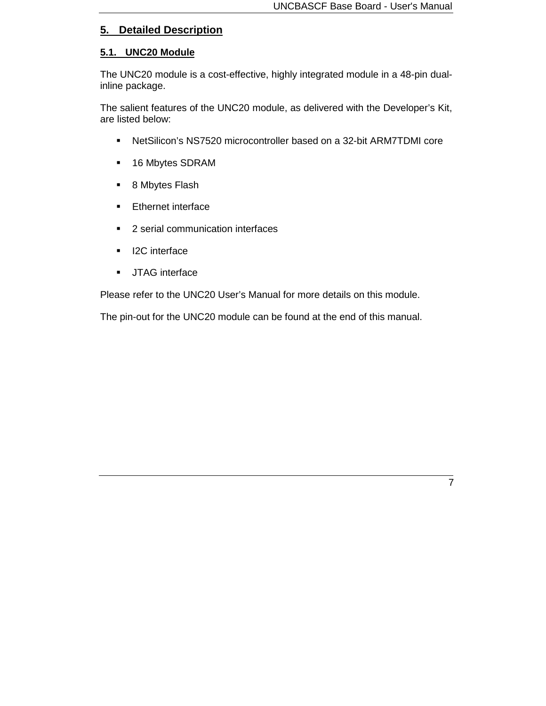## **5. Detailed Description**

#### **5.1. UNC20 Module**

The UNC20 module is a cost-effective, highly integrated module in a 48-pin dualinline package.

The salient features of the UNC20 module, as delivered with the Developer's Kit, are listed below:

- NetSilicon's NS7520 microcontroller based on a 32-bit ARM7TDMI core
- 16 Mbytes SDRAM
- 8 Mbytes Flash
- **Ethernet interface**
- **2** serial communication interfaces
- **I2C** interface
- **JTAG** interface

Please refer to the UNC20 User's Manual for more details on this module.

The pin-out for the UNC20 module can be found at the end of this manual.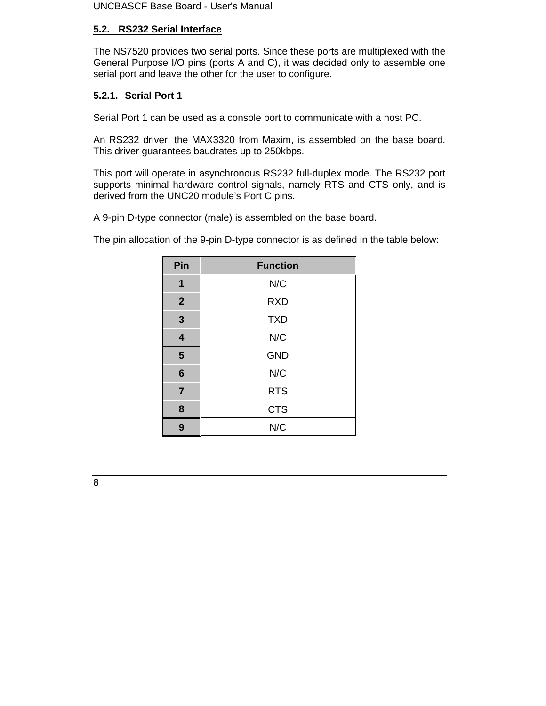## **5.2. RS232 Serial Interface**

The NS7520 provides two serial ports. Since these ports are multiplexed with the General Purpose I/O pins (ports A and C), it was decided only to assemble one serial port and leave the other for the user to configure.

## **5.2.1. Serial Port 1**

Serial Port 1 can be used as a console port to communicate with a host PC.

An RS232 driver, the MAX3320 from Maxim, is assembled on the base board. This driver guarantees baudrates up to 250kbps.

This port will operate in asynchronous RS232 full-duplex mode. The RS232 port supports minimal hardware control signals, namely RTS and CTS only, and is derived from the UNC20 module's Port C pins.

A 9-pin D-type connector (male) is assembled on the base board.

The pin allocation of the 9-pin D-type connector is as defined in the table below:

| Pin                     | <b>Function</b> |
|-------------------------|-----------------|
| 1                       | N/C             |
| $\overline{2}$          | <b>RXD</b>      |
| $\mathbf{3}$            | <b>TXD</b>      |
| $\overline{\mathbf{4}}$ | N/C             |
| $5\phantom{1}$          | <b>GND</b>      |
| $6\phantom{1}6$         | N/C             |
| $\overline{7}$          | <b>RTS</b>      |
| 8                       | <b>CTS</b>      |
| 9                       | N/C             |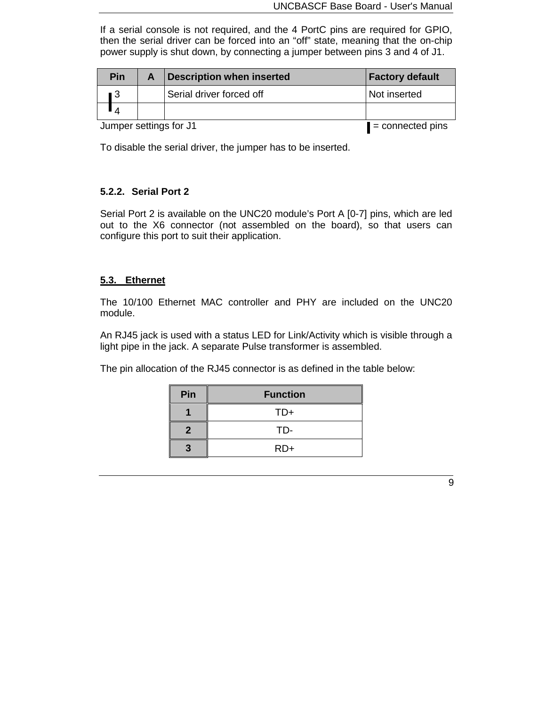If a serial console is not required, and the 4 PortC pins are required for GPIO, then the serial driver can be forced into an "off" state, meaning that the on-chip power supply is shut down, by connecting a jumper between pins 3 and 4 of J1.

|                        | Pin | <b>Description when inserted</b> | <b>Factory default</b> |
|------------------------|-----|----------------------------------|------------------------|
|                        | ∎ 3 | Serial driver forced off         | Not inserted           |
|                        |     |                                  |                        |
| Jumper settings for J1 |     | $\blacksquare$ = connected pins  |                        |

To disable the serial driver, the jumper has to be inserted.

#### **5.2.2. Serial Port 2**

Serial Port 2 is available on the UNC20 module's Port A [0-7] pins, which are led out to the X6 connector (not assembled on the board), so that users can configure this port to suit their application.

#### **5.3. Ethernet**

The 10/100 Ethernet MAC controller and PHY are included on the UNC20 module.

An RJ45 jack is used with a status LED for Link/Activity which is visible through a light pipe in the jack. A separate Pulse transformer is assembled.

The pin allocation of the RJ45 connector is as defined in the table below:

| Pin | <b>Function</b> |
|-----|-----------------|
|     | $TD+$           |
| 2   | TD-             |
| 3   | $RD+$           |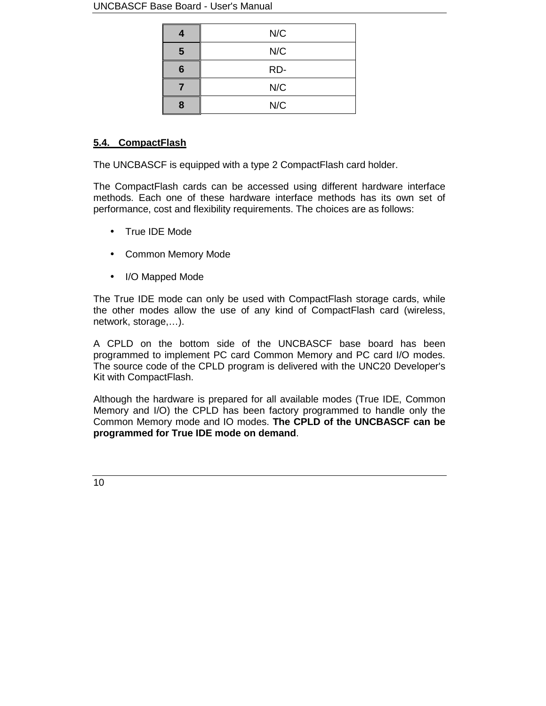#### UNCBASCF Base Board - User's Manual

|   | N/C |
|---|-----|
| 5 | N/C |
| 6 | RD- |
|   | N/C |
| Զ | N/C |

## **5.4. CompactFlash**

The UNCBASCF is equipped with a type 2 CompactFlash card holder.

The CompactFlash cards can be accessed using different hardware interface methods. Each one of these hardware interface methods has its own set of performance, cost and flexibility requirements. The choices are as follows:

- True IDE Mode
- Common Memory Mode
- I/O Mapped Mode

The True IDE mode can only be used with CompactFlash storage cards, while the other modes allow the use of any kind of CompactFlash card (wireless, network, storage,…).

A CPLD on the bottom side of the UNCBASCF base board has been programmed to implement PC card Common Memory and PC card I/O modes. The source code of the CPLD program is delivered with the UNC20 Developer's Kit with CompactFlash.

Although the hardware is prepared for all available modes (True IDE, Common Memory and I/O) the CPLD has been factory programmed to handle only the Common Memory mode and IO modes. **The CPLD of the UNCBASCF can be programmed for True IDE mode on demand**.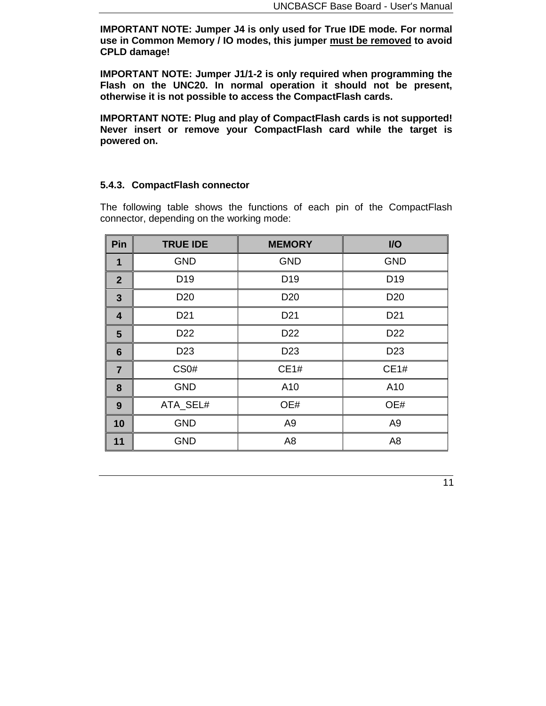**IMPORTANT NOTE: Jumper J4 is only used for True IDE mode. For normal use in Common Memory / IO modes, this jumper must be removed to avoid CPLD damage!**

**IMPORTANT NOTE: Jumper J1/1-2 is only required when programming the Flash on the UNC20. In normal operation it should not be present, otherwise it is not possible to access the CompactFlash cards.**

**IMPORTANT NOTE: Plug and play of CompactFlash cards is not supported! Never insert or remove your CompactFlash card while the target is powered on.**

#### **5.4.3. CompactFlash connector**

The following table shows the functions of each pin of the CompactFlash connector, depending on the working mode:

| Pin             | <b>TRUE IDE</b>                    | <b>MEMORY</b>   | I/O             |
|-----------------|------------------------------------|-----------------|-----------------|
| 1               | <b>GND</b>                         | <b>GND</b>      | <b>GND</b>      |
| $\overline{2}$  | D <sub>19</sub><br>D <sub>19</sub> |                 | D <sub>19</sub> |
| 3               | D <sub>20</sub>                    | D <sub>20</sub> | D <sub>20</sub> |
| 4               | D <sub>21</sub>                    | D <sub>21</sub> | D <sub>21</sub> |
| 5               | D <sub>22</sub>                    | D <sub>22</sub> | D <sub>22</sub> |
| $6\phantom{1}6$ | D <sub>23</sub>                    | D <sub>23</sub> | D <sub>23</sub> |
| $\overline{7}$  | CS <sub>0</sub> #                  | CE1#            | CE1#            |
| 8               | <b>GND</b>                         | A10             | A10             |
| 9               | ATA_SEL#                           | OE#             | OE#             |
| 10              | <b>GND</b>                         | A <sub>9</sub>  | A <sub>9</sub>  |
| 11              | <b>GND</b>                         | A <sub>8</sub>  | A <sub>8</sub>  |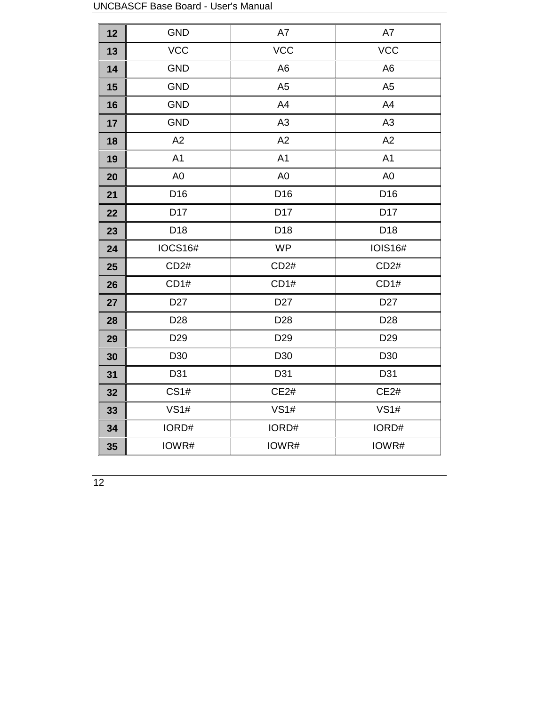|    | UNCDAUCH DASE DUAIU - USEI S IVIAHUAI |                 |                 |
|----|---------------------------------------|-----------------|-----------------|
| 12 | <b>GND</b>                            | A7              | $\mathsf{A7}$   |
| 13 | <b>VCC</b>                            | <b>VCC</b>      | <b>VCC</b>      |
| 14 | <b>GND</b>                            | A <sub>6</sub>  | A <sub>6</sub>  |
| 15 | <b>GND</b>                            | A <sub>5</sub>  | A <sub>5</sub>  |
| 16 | <b>GND</b>                            | A4              | A4              |
| 17 | <b>GND</b>                            | A <sub>3</sub>  | A3              |
| 18 | A2                                    | A2              | A2              |
| 19 | A <sub>1</sub>                        | A <sub>1</sub>  | A <sub>1</sub>  |
| 20 | A <sub>0</sub>                        | A <sub>0</sub>  | A <sub>0</sub>  |
| 21 | D <sub>16</sub>                       | D <sub>16</sub> | D <sub>16</sub> |
| 22 | D17                                   | D17             | D17             |
| 23 | D18                                   | D <sub>18</sub> | D <sub>18</sub> |
| 24 | <b>IOCS16#</b>                        | <b>WP</b>       | <b>IOIS16#</b>  |
| 25 | CD2#                                  | CD2#            | CD2#            |
| 26 | CD1#                                  | CD1#            | CD1#            |
| 27 | D <sub>27</sub>                       | D <sub>27</sub> | D <sub>27</sub> |
| 28 | D <sub>28</sub>                       | D <sub>28</sub> | D <sub>28</sub> |
| 29 | D <sub>29</sub>                       | D <sub>29</sub> | D <sub>29</sub> |
| 30 | D30                                   | D <sub>30</sub> | D <sub>30</sub> |
| 31 | D31                                   | D31             | D31             |
| 32 | CS1#                                  | CE2#            | CE2#            |
| 33 | VS1#                                  | VS1#            | VS1#            |
| 34 | IORD#                                 | IORD#           | IORD#           |
| 35 | IOWR#                                 | IOWR#           | IOWR#           |

UNCBASCF Base Board - User's Manual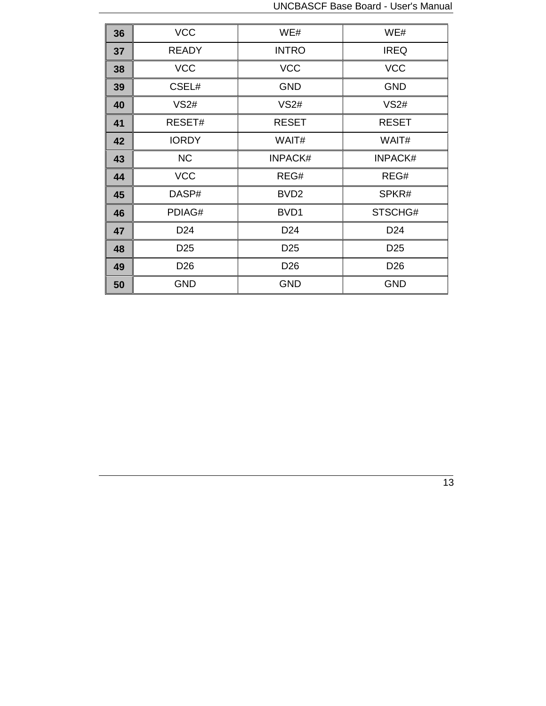| 36 | <b>VCC</b>      | WE#              | WE#             |
|----|-----------------|------------------|-----------------|
| 37 | <b>READY</b>    | <b>INTRO</b>     | <b>IREQ</b>     |
| 38 | <b>VCC</b>      | <b>VCC</b>       | <b>VCC</b>      |
| 39 | CSEL#           | <b>GND</b>       | <b>GND</b>      |
| 40 | VS2#            | VS2#             | VS2#            |
| 41 | RESET#          | <b>RESET</b>     | <b>RESET</b>    |
| 42 | <b>IORDY</b>    | WAIT#            | WAIT#           |
| 43 | <b>NC</b>       | <b>INPACK#</b>   | <b>INPACK#</b>  |
| 44 | <b>VCC</b>      | REG#             | REG#            |
| 45 | DASP#           | BVD <sub>2</sub> | SPKR#           |
| 46 | PDIAG#          | BVD1             | STSCHG#         |
| 47 | D <sub>24</sub> | D <sub>24</sub>  | D <sub>24</sub> |
| 48 | D <sub>25</sub> | D <sub>25</sub>  | D <sub>25</sub> |
| 49 | D <sub>26</sub> | D <sub>26</sub>  | D <sub>26</sub> |
| 50 | <b>GND</b>      | <b>GND</b>       | <b>GND</b>      |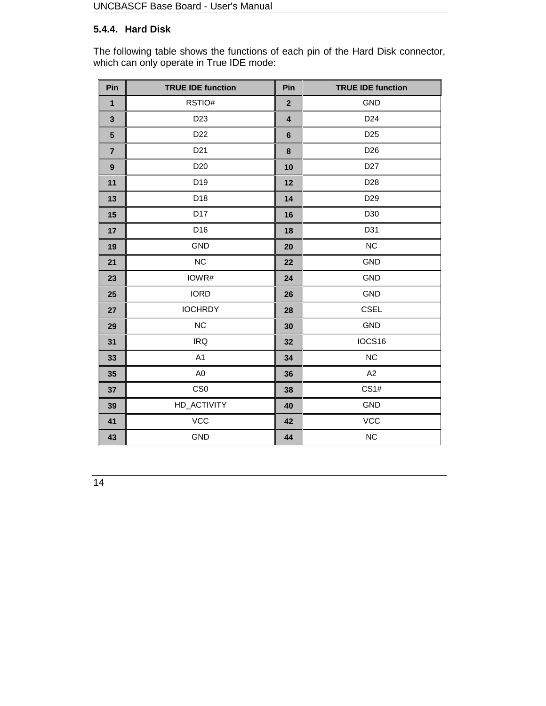## **5.4.4. Hard Disk**

The following table shows the functions of each pin of the Hard Disk connector, which can only operate in True IDE mode:

| Pin              | <b>TRUE IDE function</b> | Pin                     | <b>TRUE IDE function</b> |  |
|------------------|--------------------------|-------------------------|--------------------------|--|
| $\mathbf{1}$     | RSTIO#                   | $\overline{\mathbf{2}}$ | <b>GND</b>               |  |
| $\mathbf{3}$     | D <sub>23</sub>          | $\overline{\mathbf{4}}$ | D <sub>24</sub>          |  |
| $5\phantom{1}$   | D <sub>22</sub>          | $6\phantom{1}$          | D <sub>25</sub>          |  |
| $\overline{7}$   | D <sub>21</sub>          | $\bf8$                  | D <sub>26</sub>          |  |
| $\boldsymbol{9}$ | D <sub>20</sub>          | 10                      | D <sub>27</sub>          |  |
| 11               | D19                      | 12                      | D <sub>28</sub>          |  |
| 13               | D18                      | 14                      | D <sub>29</sub>          |  |
| 15               | D17                      | 16                      | D30                      |  |
| 17               | D16                      | 18                      | D31                      |  |
| 19               | <b>GND</b>               | 20                      | NC                       |  |
| 21               | NC                       | 22                      | <b>GND</b>               |  |
| 23               | IOWR#                    | 24                      | <b>GND</b>               |  |
| 25               | <b>IORD</b>              | 26                      | <b>GND</b>               |  |
| 27               | <b>IOCHRDY</b>           | 28                      | <b>CSEL</b>              |  |
| 29               | NC                       | 30                      | GND                      |  |
| 31               | <b>IRQ</b>               | 32                      | IOCS16                   |  |
| 33               | A1                       | 34                      | NC                       |  |
| 35               | A <sub>0</sub>           | 36                      | A2                       |  |
| 37               | CS <sub>0</sub>          | 38                      | CS1#                     |  |
| 39               | HD_ACTIVITY              | 40                      | GND                      |  |
| 41               | VCC                      | 42                      | <b>VCC</b>               |  |
| 43               | <b>GND</b>               | 44                      | <b>NC</b>                |  |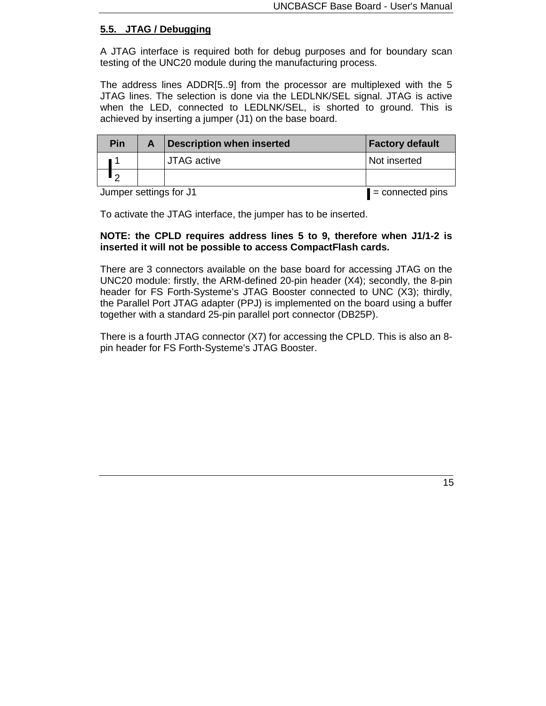#### **5.5. JTAG / Debugging**

A JTAG interface is required both for debug purposes and for boundary scan testing of the UNC20 module during the manufacturing process.

The address lines ADDR[5..9] from the processor are multiplexed with the 5 JTAG lines. The selection is done via the LEDLNK/SEL signal. JTAG is active when the LED, connected to LEDLNK/SEL, is shorted to ground. This is achieved by inserting a jumper (J1) on the base board.

| Pin                    |  | <b>Description when inserted</b> | <b>Factory default</b> |
|------------------------|--|----------------------------------|------------------------|
|                        |  | <b>JTAG</b> active               | Not inserted           |
| ົ                      |  |                                  |                        |
| Jumper settings for J1 |  | $\blacksquare$ = connected pins  |                        |

To activate the JTAG interface, the jumper has to be inserted.

#### **NOTE: the CPLD requires address lines 5 to 9, therefore when J1/1-2 is inserted it will not be possible to access CompactFlash cards.**

There are 3 connectors available on the base board for accessing JTAG on the UNC20 module: firstly, the ARM-defined 20-pin header (X4); secondly, the 8-pin header for FS Forth-Systeme's JTAG Booster connected to UNC (X3); thirdly, the Parallel Port JTAG adapter (PPJ) is implemented on the board using a buffer together with a standard 25-pin parallel port connector (DB25P).

There is a fourth JTAG connector (X7) for accessing the CPLD. This is also an 8 pin header for FS Forth-Systeme's JTAG Booster.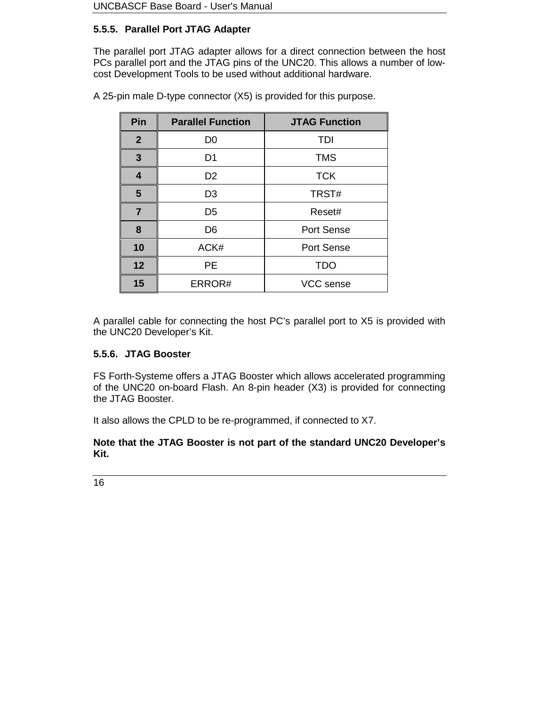## **5.5.5. Parallel Port JTAG Adapter**

The parallel port JTAG adapter allows for a direct connection between the host PCs parallel port and the JTAG pins of the UNC20. This allows a number of lowcost Development Tools to be used without additional hardware.

| Pin                              | <b>Parallel Function</b> | <b>JTAG Function</b> |  |
|----------------------------------|--------------------------|----------------------|--|
| 2 <sup>2</sup><br>D <sub>0</sub> |                          | <b>TDI</b>           |  |
| $\mathbf{3}$<br>D <sub>1</sub>   |                          | <b>TMS</b>           |  |
| 4<br>D <sub>2</sub>              |                          | <b>TCK</b>           |  |
| $5\phantom{1}$<br>D <sub>3</sub> |                          | TRST#                |  |
| $\overline{7}$<br>D <sub>5</sub> |                          | Reset#               |  |
| 8<br>D <sub>6</sub>              |                          | Port Sense           |  |
| 10                               | ACK#                     | Port Sense           |  |
| 12                               | <b>PE</b>                | <b>TDO</b>           |  |
| 15                               | ERROR#                   | VCC sense            |  |

A 25-pin male D-type connector (X5) is provided for this purpose.

A parallel cable for connecting the host PC's parallel port to X5 is provided with the UNC20 Developer's Kit.

#### **5.5.6. JTAG Booster**

FS Forth-Systeme offers a JTAG Booster which allows accelerated programming of the UNC20 on-board Flash. An 8-pin header (X3) is provided for connecting the JTAG Booster.

It also allows the CPLD to be re-programmed, if connected to X7.

**Note that the JTAG Booster is not part of the standard UNC20 Developer's Kit.**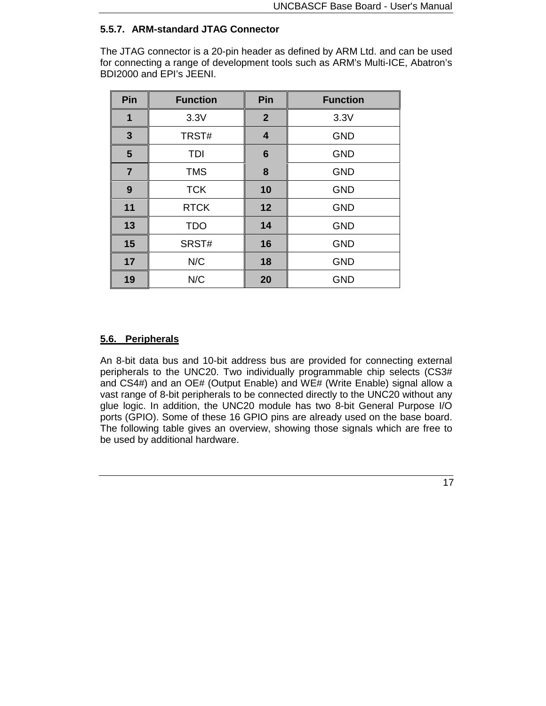## **5.5.7. ARM-standard JTAG Connector**

The JTAG connector is a 20-pin header as defined by ARM Ltd. and can be used for connecting a range of development tools such as ARM's Multi-ICE, Abatron's BDI2000 and EPI's JEENI.

| Pin            | <b>Function</b> | Pin             | <b>Function</b> |
|----------------|-----------------|-----------------|-----------------|
| 1              | 3.3V            | $\overline{2}$  | 3.3V            |
| $\mathbf{3}$   | TRST#           | 4               | <b>GND</b>      |
| 5              | TDI             | $6\phantom{1}6$ | <b>GND</b>      |
| $\overline{7}$ | <b>TMS</b>      | 8               | <b>GND</b>      |
| 9              | <b>TCK</b>      | 10              | <b>GND</b>      |
| 11             | <b>RTCK</b>     | 12              | <b>GND</b>      |
| 13             | <b>TDO</b>      | 14              | <b>GND</b>      |
| 15             | SRST#           | 16              | <b>GND</b>      |
| 17             | N/C             | 18              | <b>GND</b>      |
| 19             | N/C             | 20              | <b>GND</b>      |

## **5.6. Peripherals**

An 8-bit data bus and 10-bit address bus are provided for connecting external peripherals to the UNC20. Two individually programmable chip selects (CS3# and CS4#) and an OE# (Output Enable) and WE# (Write Enable) signal allow a vast range of 8-bit peripherals to be connected directly to the UNC20 without any glue logic. In addition, the UNC20 module has two 8-bit General Purpose I/O ports (GPIO). Some of these 16 GPIO pins are already used on the base board. The following table gives an overview, showing those signals which are free to be used by additional hardware.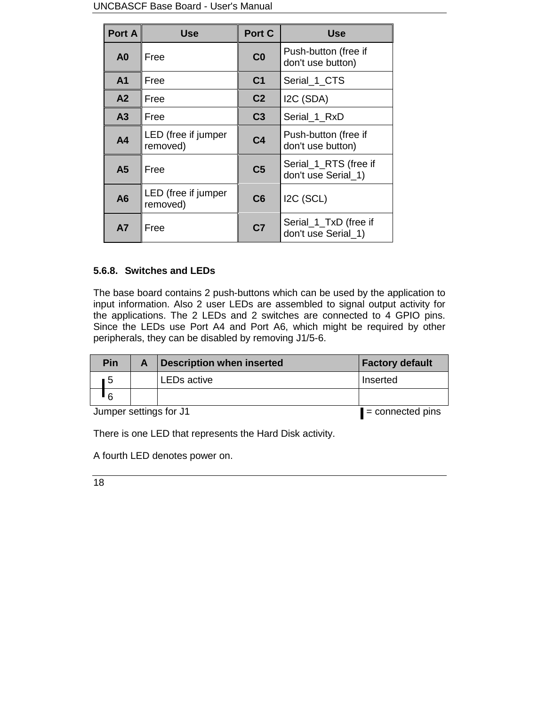#### UNCBASCF Base Board - User's Manual

| Port A         | Use                             | Port C         | <b>Use</b>                                   |
|----------------|---------------------------------|----------------|----------------------------------------------|
| A <sub>0</sub> | Free                            | CO             | Push-button (free if<br>don't use button)    |
| A <sub>1</sub> | Free                            | C <sub>1</sub> | Serial_1_CTS                                 |
| A <sub>2</sub> | Free                            | C <sub>2</sub> | I2C (SDA)                                    |
| A <sub>3</sub> | Free                            | C <sub>3</sub> | Serial_1_RxD                                 |
| A <sub>4</sub> | LED (free if jumper<br>removed) | C <sub>4</sub> | Push-button (free if<br>don't use button)    |
| A <sub>5</sub> | Free                            | C <sub>5</sub> | Serial_1_RTS (free if<br>don't use Serial 1) |
| A6             | LED (free if jumper<br>removed) | C6             | I2C (SCL)                                    |
| <b>A7</b>      | Free                            | C <sub>7</sub> | Serial_1_TxD (free if<br>don't use Serial 1) |

## **5.6.8. Switches and LEDs**

The base board contains 2 push-buttons which can be used by the application to input information. Also 2 user LEDs are assembled to signal output activity for the applications. The 2 LEDs and 2 switches are connected to 4 GPIO pins. Since the LEDs use Port A4 and Port A6, which might be required by other peripherals, they can be disabled by removing J1/5-6.

|                        | <b>Pin</b> | A | <b>Description when inserted</b> | <b>Factory default</b> |
|------------------------|------------|---|----------------------------------|------------------------|
|                        | 5          |   | LEDs active                      | Inserted               |
|                        | $\epsilon$ |   |                                  |                        |
| Jumper settings for J1 |            |   | $\blacksquare$ = connected pins  |                        |

There is one LED that represents the Hard Disk activity.

A fourth LED denotes power on.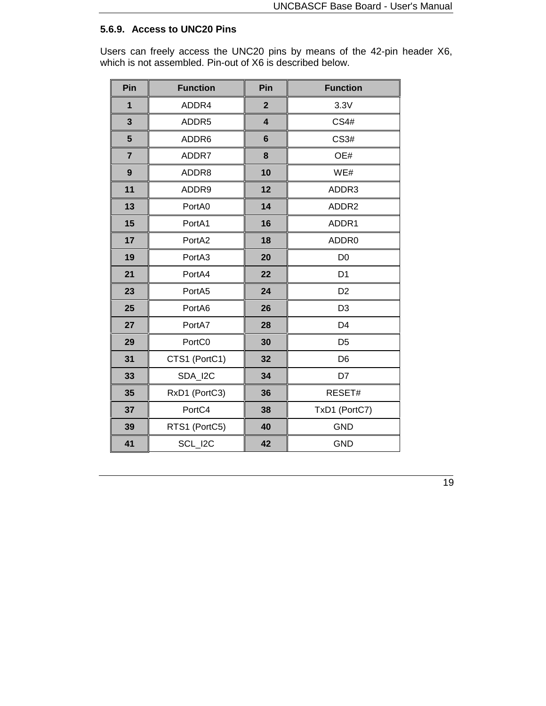## **5.6.9. Access to UNC20 Pins**

Users can freely access the UNC20 pins by means of the 42-pin header X6, which is not assembled. Pin-out of X6 is described below.

| Pin              | <b>Function</b> | Pin                     | <b>Function</b> |
|------------------|-----------------|-------------------------|-----------------|
| $\overline{1}$   | ADDR4           | $\overline{2}$          | 3.3V            |
| $\mathbf{3}$     | ADDR5           | $\overline{\mathbf{4}}$ | <b>CS4#</b>     |
| 5                | ADDR6           | $6\phantom{1}$          | CS3#            |
| $\overline{7}$   | ADDR7           | 8                       | OE#             |
| $\boldsymbol{9}$ | ADDR8           | 10                      | WE#             |
| 11               | ADDR9           | 12                      | ADDR3           |
| 13               | PortA0          | 14                      | ADDR2           |
| 15               | PortA1          | 16                      | ADDR1           |
| 17               | PortA2          | 18                      | ADDR0           |
| 19               | PortA3          | 20                      | D <sub>0</sub>  |
| 21               | PortA4          | 22                      | D <sub>1</sub>  |
| 23               | PortA5          | 24                      | D <sub>2</sub>  |
| 25               | PortA6          | 26                      | D <sub>3</sub>  |
| 27               | PortA7          | 28                      | D <sub>4</sub>  |
| 29               | PortC0          | 30                      | D <sub>5</sub>  |
| 31               | CTS1 (PortC1)   | 32                      | D <sub>6</sub>  |
| 33               | SDA_I2C         | 34                      | D7              |
| 35               | RxD1 (PortC3)   | 36                      | RESET#          |
| 37               | PortC4          | 38                      | TxD1 (PortC7)   |
| 39               | RTS1 (PortC5)   | 40                      | <b>GND</b>      |
| 41               | SCL I2C         | 42                      | <b>GND</b>      |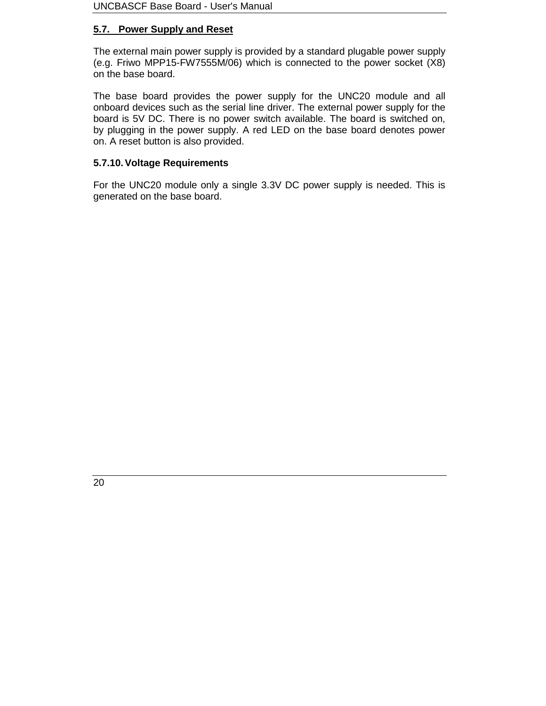## **5.7. Power Supply and Reset**

The external main power supply is provided by a standard plugable power supply (e.g. Friwo MPP15-FW7555M/06) which is connected to the power socket (X8) on the base board.

The base board provides the power supply for the UNC20 module and all onboard devices such as the serial line driver. The external power supply for the board is 5V DC. There is no power switch available. The board is switched on, by plugging in the power supply. A red LED on the base board denotes power on. A reset button is also provided.

## **5.7.10. Voltage Requirements**

For the UNC20 module only a single 3.3V DC power supply is needed. This is generated on the base board.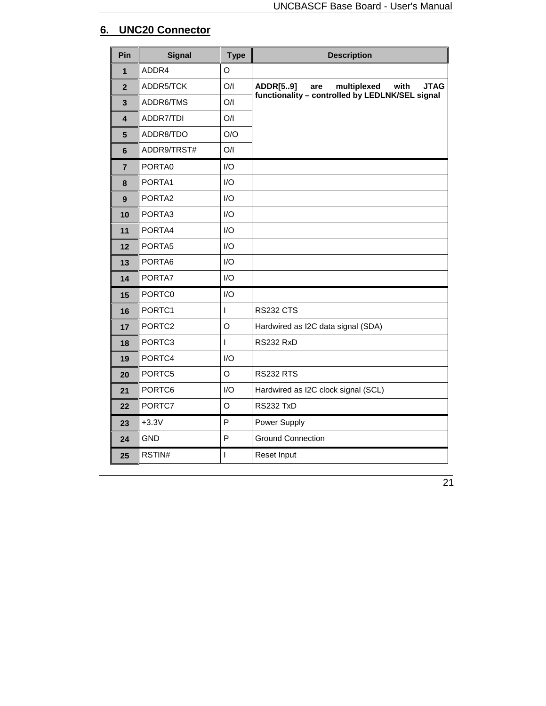# **6. UNC20 Connector**

| Pin                     | <b>Signal</b>      | <b>Type</b>  | <b>Description</b>                                           |
|-------------------------|--------------------|--------------|--------------------------------------------------------------|
| 1                       | ADDR4              | O            |                                                              |
| $\overline{2}$          | ADDR5/TCK          | O/I          | multiplexed<br><b>JTAG</b><br><b>ADDR[59]</b><br>with<br>are |
| $\mathbf{3}$            | ADDR6/TMS          | O/I          | functionality - controlled by LEDLNK/SEL signal              |
| $\overline{\mathbf{4}}$ | ADDR7/TDI          | O/I          |                                                              |
| 5                       | ADDR8/TDO          | O/O          |                                                              |
| 6                       | ADDR9/TRST#        | O/I          |                                                              |
| $\overline{7}$          | PORTA0             | I/O          |                                                              |
| 8                       | PORTA1             | I/O          |                                                              |
| 9                       | PORTA2             | I/O          |                                                              |
| 10                      | PORTA3             | I/O          |                                                              |
| 11                      | PORTA4             | I/O          |                                                              |
| 12                      | PORTA5             | I/O          |                                                              |
| 13                      | PORTA6             | I/O          |                                                              |
| 14                      | PORTA7             | I/O          |                                                              |
| 15                      | PORTC0             | I/O          |                                                              |
| 16                      | PORTC1             | I            | <b>RS232 CTS</b>                                             |
| 17                      | PORTC <sub>2</sub> | O            | Hardwired as I2C data signal (SDA)                           |
| 18                      | PORTC3             | $\mathsf{I}$ | <b>RS232 RxD</b>                                             |
| 19                      | PORTC4             | I/O          |                                                              |
| 20                      | PORTC5             | O            | <b>RS232 RTS</b>                                             |
| 21                      | PORTC6             | I/O          | Hardwired as I2C clock signal (SCL)                          |
| 22                      | PORTC7             | O            | <b>RS232 TxD</b>                                             |
| 23                      | $+3.3V$            | P            | Power Supply                                                 |
| 24                      | <b>GND</b>         | P            | <b>Ground Connection</b>                                     |
| 25                      | RSTIN#             | I            | Reset Input                                                  |